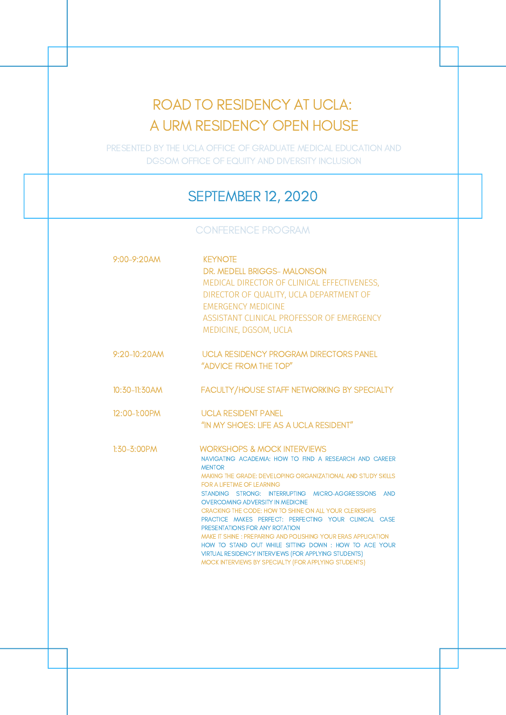# ROAD TO RESIDENCY AT UCLA: A URM RESIDENCY OPEN HOUSE

PRESENTED BY THE UCLA OFFICE OF GRADUATE MEDICAL EDUCATION AND DGSOM OFFICE OF EQUITY AND DIVERSITY INCLUSION

### SEPTEMBER 12, 2020

CONFERENCE PROGRAM

| $9:00 - 9:20$ AM | <b>KEYNOTE</b><br>DR. MEDELL BRIGGS- MALONSON<br>MEDICAL DIRECTOR OF CLINICAL EFFECTIVENESS.<br>DIRECTOR OF QUALITY, UCLA DEPARTMENT OF<br><b><i>EMERGENCY MEDICINE</i></b><br>ASSISTANT CLINICAL PROFESSOR OF EMERGENCY<br>MEDICINE, DGSOM, UCLA                                                                                                                                                                                                                                                                                                                                                                                                                                                                            |
|------------------|------------------------------------------------------------------------------------------------------------------------------------------------------------------------------------------------------------------------------------------------------------------------------------------------------------------------------------------------------------------------------------------------------------------------------------------------------------------------------------------------------------------------------------------------------------------------------------------------------------------------------------------------------------------------------------------------------------------------------|
| $9:20-10:20$ AM  | <b>UCLA RESIDENCY PROGRAM DIRECTORS PANEL</b><br>"ADVICE FROM THE TOP"                                                                                                                                                                                                                                                                                                                                                                                                                                                                                                                                                                                                                                                       |
| 10:30-11:30AM    | FACULTY/HOUSE STAFF NETWORKING BY SPECIALTY                                                                                                                                                                                                                                                                                                                                                                                                                                                                                                                                                                                                                                                                                  |
| $12:00-1:00$ PM  | <b>UCLA RESIDENT PANEL</b><br>"IN MY SHOFS: LIFF AS A UCLA RESIDENT"                                                                                                                                                                                                                                                                                                                                                                                                                                                                                                                                                                                                                                                         |
| $1:30 - 3:00$ PM | <b>WORKSHOPS &amp; MOCK INTERVIEWS</b><br>NAVIGATING ACADEMIA: HOW TO FIND A RESEARCH AND CAREER<br><b>MENTOR</b><br>MAKING THE GRADE: DEVELOPING ORGANIZATIONAL AND STUDY SKILLS<br><b>FOR A LIFETIME OF LEARNING</b><br>STANDING STRONG: INTERRUPTING MICRO-AGGRESSIONS AND<br><b>OVERCOMING ADVERSITY IN MEDICINE</b><br>CRACKING THE CODE: HOW TO SHINE ON ALL YOUR CLERKSHIPS<br>PRACTICE MAKES PERFECT: PERFECTING YOUR CLINICAL CASE<br>PRESENTATIONS FOR ANY ROTATION<br>MAKE IT SHINE: PREPARING AND POLISHING YOUR ERAS APPLICATION<br>HOW TO STAND OUT WHILE SITTING DOWN: HOW TO ACE YOUR<br><b>VIRTUAL RESIDENCY INTERVIEWS (FOR APPLYING STUDENTS)</b><br>MOCK INTERVIEWS BY SPECIALTY (FOR APPLYING STUDENTS) |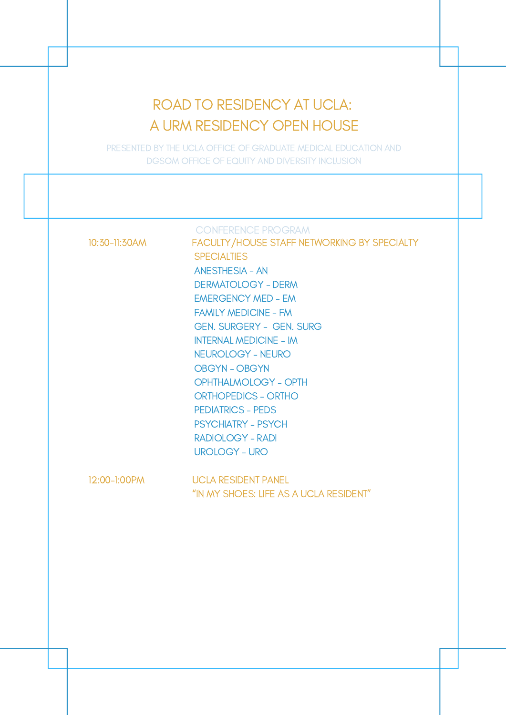## ROAD TO RESIDENCY AT UCLA: A URM RESIDENCY OPEN HOUSE

PRESENTED BY THE UCLA OFFICE OF GRADUATE MEDICAL EDUCATION AND DGSOM OFFICE OF EQUITY AND DIVERSITY INCLUSION

CONFERENCE PROGRAM

10:30-11:30AM FACULTY/HOUSE STAFF NETWORKING BY SPECIALTY **SPECIALTIES** ANESTHESIA - AN DERMATOLOGY - DERM EMERGENCY MED - EM FAMILY MEDICINE - FM GEN. SURGERY - GEN. SURG INTERNAL MEDICINE - IM NEUROLOGY - NEURO OBGYN - OBGYN OPHTHALMOLOGY - OPTH ORTHOPEDICS - ORTHO PEDIATRICS - PEDS PSYCHIATRY - PSYCH RADIOLOGY - RADI UROLOGY - URO

12:00-1:00PM UCLA RESIDENT PANEL "IN MY SHOES: LIFE AS A UCLA RESIDENT"